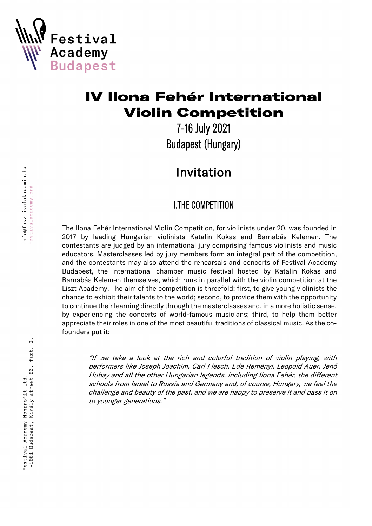

# IV Ilona Fehér International Violin Competition

7-16 July 2021 Budapest (Hungary)

# Invitation

# I.THE COMPETITION

The Ilona Fehér International Violin Competition, for violinists under 20, was founded in 2017 by leading Hungarian violinists Katalin Kokas and Barnabás Kelemen. The contestants are judged by an international jury comprising famous violinists and music educators. Masterclasses led by jury members form an integral part of the competition, and the contestants may also attend the rehearsals and concerts of Festival Academy Budapest, the international chamber music festival hosted by Katalin Kokas and Barnabás Kelemen themselves, which runs in parallel with the violin competition at the Liszt Academy. The aim of the competition is threefold: first, to give young violinists the chance to exhibit their talents to the world; second, to provide them with the opportunity to continue their learning directly through the masterclasses and, in a more holistic sense, by experiencing the concerts of world-famous musicians; third, to help them better appreciate their roles in one of the most beautiful traditions of classical music. As the cofounders put it:

"If we take a look at the rich and colorful tradition of violin playing, with performers like Joseph Joachim, Carl Flesch, Ede Reményi, Leopold Auer, Jenő Hubay and all the other Hungarian legends, including Ilona Fehér, the different schools from Israel to Russia and Germany and, of course, Hungary, we feel the challenge and beauty of the past, and we are happy to preserve it and pass it on to younger generations."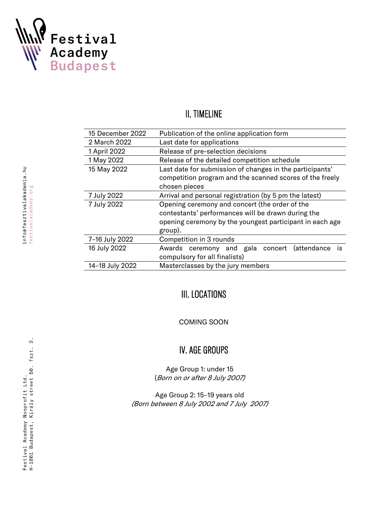

### II. TIMELINE

| 15 December 2022 | Publication of the online application form                |  |  |
|------------------|-----------------------------------------------------------|--|--|
| 2 March 2022     | Last date for applications                                |  |  |
| 1 April 2022     | Release of pre-selection decisions                        |  |  |
| 1 May 2022       | Release of the detailed competition schedule              |  |  |
| 15 May 2022      | Last date for submission of changes in the participants'  |  |  |
|                  | competition program and the scanned scores of the freely  |  |  |
|                  | chosen pieces                                             |  |  |
| 7 July 2022      | Arrival and personal registration (by 5 pm the latest)    |  |  |
| 7 July 2022      | Opening ceremony and concert (the order of the            |  |  |
|                  | contestants' performances will be drawn during the        |  |  |
|                  | opening ceremony by the youngest participant in each age  |  |  |
|                  | group).                                                   |  |  |
| 7-16 July 2022   | Competition in 3 rounds                                   |  |  |
| 16 July 2022     | Awards ceremony and gala concert (attendance<br><b>is</b> |  |  |
|                  | compulsory for all finalists)                             |  |  |
| 14-18 July 2022  | Masterclasses by the jury members                         |  |  |

# III. LOCATIONS

COMING SOON

# IV. AGE GROUPS

Age Group 1: under 15 (Born on or after 8 July 2007)

Age Group 2: 15–19 years old (Born between 8 July 2002 and 7 July 2007)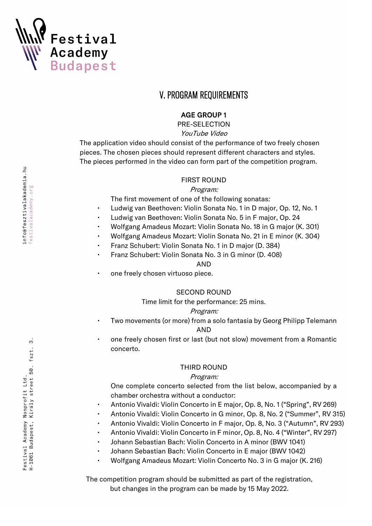

### V. PROGRAM REQUIREMENTS

#### AGE GROUP 1

PRE-SELECTION YouTube Video

The application video should consist of the performance of two freely chosen pieces. The chosen pieces should represent different characters and styles. The pieces performed in the video can form part of the competition program.

#### FIRST ROUND

#### Program:

The first movement of one of the following sonatas:

- Ludwig van Beethoven: Violin Sonata No. 1 in D major, Op. 12, No. 1
- Ludwig van Beethoven: Violin Sonata No. 5 in F major, Op. 24
- Wolfgang Amadeus Mozart: Violin Sonata No. 18 in G major (K. 301)
- Wolfgang Amadeus Mozart: Violin Sonata No. 21 in E minor (K. 304)
- Franz Schubert: Violin Sonata No. 1 in D major (D. 384)
- Franz Schubert: Violin Sonata No. 3 in G minor (D. 408)

#### AND

one freely chosen virtuoso piece.

#### SECOND ROUND

Time limit for the performance: 25 mins.

#### Program:

- Two movements (or more) from a solo fantasia by Georg Philipp Telemann AND
- one freely chosen first or last (but not slow) movement from a Romantic concerto.

#### THIRD ROUND

#### Program:

One complete concerto selected from the list below, accompanied by a chamber orchestra without a conductor:

- Antonio Vivaldi: Violin Concerto in E major, Op. 8, No. 1 ("Spring", RV 269)
- Antonio Vivaldi: Violin Concerto in G minor, Op. 8, No. 2 ("Summer", RV 315)
- Antonio Vivaldi: Violin Concerto in F major, Op. 8, No. 3 ("Autumn", RV 293)
- Antonio Vivaldi: Violin Concerto in F minor, Op. 8, No. 4 ("Winter", RV 297)
- Johann Sebastian Bach: Violin Concerto in A minor (BWV 1041)
- Johann Sebastian Bach: Violin Concerto in E major (BWV 1042)
- Wolfgang Amadeus Mozart: Violin Concerto No. 3 in G major (K. 216)

The competition program should be submitted as part of the registration, but changes in the program can be made by 15 May 2022.

က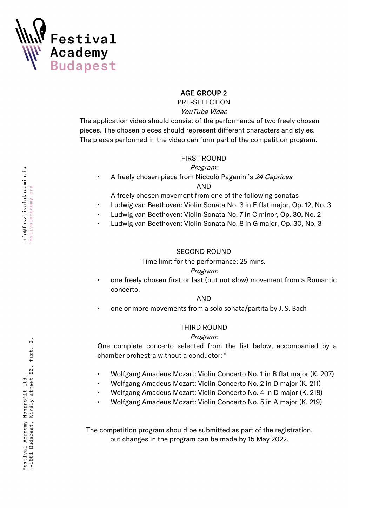

#### AGE GROUP 2

PRE-SELECTION

#### YouTube Video

The application video should consist of the performance of two freely chosen pieces. The chosen pieces should represent different characters and styles. The pieces performed in the video can form part of the competition program.

#### FIRST ROUND

#### Program:

• A freely chosen piece from Niccolò Paganini's 24 Caprices AND

A freely chosen movement from one of the following sonatas

- Ludwig van Beethoven: Violin Sonata No. 3 in E flat major, Op. 12, No. 3
- Ludwig van Beethoven: Violin Sonata No. 7 in C minor, Op. 30, No. 2
- Ludwig van Beethoven: Violin Sonata No. 8 in G major, Op. 30, No. 3

#### SECOND ROUND

Time limit for the performance: 25 mins.

#### Program:

• one freely chosen first or last (but not slow) movement from a Romantic concerto.

#### AND

• one or more movements from a solo sonata/partita by J. S. Bach

#### THIRD ROUND

#### Program:

One complete concerto selected from the list below, accompanied by a chamber orchestra without a conductor: "

- Wolfgang Amadeus Mozart: Violin Concerto No. 1 in B flat major (K. 207)
- Wolfgang Amadeus Mozart: Violin Concerto No. 2 in D major (K. 211)
- Wolfgang Amadeus Mozart: Violin Concerto No. 4 in D major (K. 218)
- Wolfgang Amadeus Mozart: Violin Concerto No. 5 in A major (K. 219)

The competition program should be submitted as part of the registration, but changes in the program can be made by 15 May 2022.

က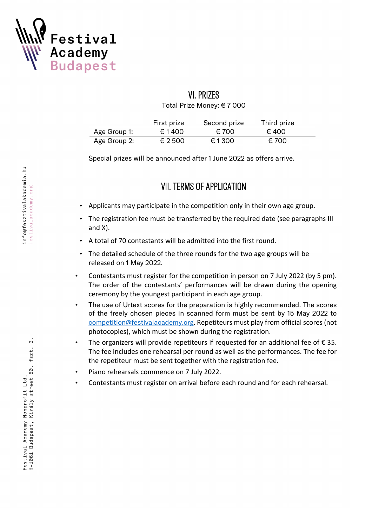

# VI. PRIZES

Total Prize Money: € 7 000

|              | First prize      | Second prize | Third prize    |
|--------------|------------------|--------------|----------------|
| Age Group 1: | € 1400           | € 700        | $\epsilon$ 400 |
| Age Group 2: | $\epsilon$ 2 500 | €1300        | € 700          |

Special prizes will be announced after 1 June 2022 as offers arrive.

## VII. TERMS OF APPLICATION

- Applicants may participate in the competition only in their own age group.
- The registration fee must be transferred by the required date (see paragraphs III and X).
- A total of 70 contestants will be admitted into the first round.
- The detailed schedule of the three rounds for the two age groups will be released on 1 May 2022.
- Contestants must register for the competition in person on 7 July 2022 (by 5 pm). The order of the contestants' performances will be drawn during the opening ceremony by the youngest participant in each age group.
- The use of Urtext scores for the preparation is highly recommended. The scores of the freely chosen pieces in scanned form must be sent by 15 May 2022 to competition@festivalacademy.org. Repetiteurs must play from official scores (not photocopies), which must be shown during the registration.
- The organizers will provide repetiteurs if requested for an additional fee of  $\epsilon$  35. The fee includes one rehearsal per round as well as the performances. The fee for the repetiteur must be sent together with the registration fee.
- Piano rehearsals commence on 7 July 2022.
- Contestants must register on arrival before each round and for each rehearsal.

က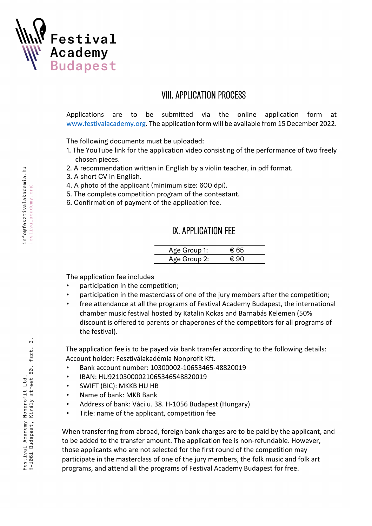

### VIII. APPLICATION PROCESS

Applications are to be submitted via the online application form at www.festivalacademy.org. The application form will be available from 15 December 2022.

The following documents must be uploaded:

- 1. The YouTube link for the application video consisting of the performance of two freely chosen pieces.
- 2. A recommendation written in English by a violin teacher, in pdf format.
- 3. A short CV in English.
- 4. A photo of the applicant (minimum size: 600 dpi).
- 5. The complete competition program of the contestant.
- 6. Confirmation of payment of the application fee.

### IX. APPLICATION FEE

| Age Group 1: | $\epsilon$ 65 |
|--------------|---------------|
| Age Group 2: | €.90          |

The application fee includes

- participation in the competition;
- participation in the masterclass of one of the jury members after the competition;
- free attendance at all the programs of Festival Academy Budapest, the international chamber music festival hosted by Katalin Kokas and Barnabás Kelemen (50% discount is offered to parents or chaperones of the competitors for all programs of the festival).

The application fee is to be payed via bank transfer according to the following details: Account holder: Fesztiválakadémia Nonprofit Kft.

- Bank account number: 10300002-10653465-48820019
- IBAN: HU92103000021065346548820019
- SWIFT (BIC): MKKB HU HB
- Name of bank: MKB Bank
- Address of bank: Váci u. 38. H-1056 Budapest (Hungary)
- Title: name of the applicant, competition fee

When transferring from abroad, foreign bank charges are to be paid by the applicant, and to be added to the transfer amount. The application fee is non-refundable. However, those applicants who are not selected for the first round of the competition may participate in the masterclass of one of the jury members, the folk music and folk art programs, and attend all the programs of Festival Academy Budapest for free.